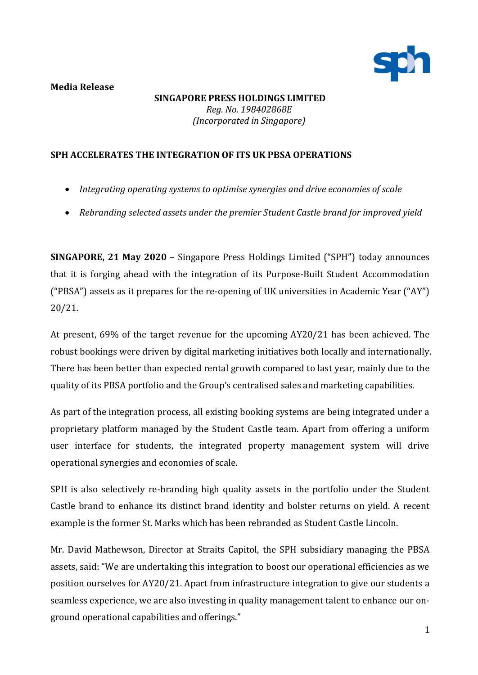

## **Media Release**

**SINGAPORE PRESS HOLDINGS LIMITED** *Reg. No. 198402868E (Incorporated in Singapore)*

## **SPH ACCELERATES THE INTEGRATION OF ITS UK PBSA OPERATIONS**

- *Integrating operating systems to optimise synergies and drive economies of scale*
- *Rebranding selected assets under the premier Student Castle brand for improved yield*

**SINGAPORE, 21 May 2020** – Singapore Press Holdings Limited ("SPH") today announces that it is forging ahead with the integration of its Purpose-Built Student Accommodation ("PBSA") assets as it prepares for the re-opening of UK universities in Academic Year ("AY") 20/21.

At present, 69% of the target revenue for the upcoming AY20/21 has been achieved. The robust bookings were driven by digital marketing initiatives both locally and internationally. There has been better than expected rental growth compared to last year, mainly due to the quality of its PBSA portfolio and the Group's centralised sales and marketing capabilities.

As part of the integration process, all existing booking systems are being integrated under a proprietary platform managed by the Student Castle team. Apart from offering a uniform user interface for students, the integrated property management system will drive operational synergies and economies of scale.

SPH is also selectively re-branding high quality assets in the portfolio under the Student Castle brand to enhance its distinct brand identity and bolster returns on yield. A recent example is the former St. Marks which has been rebranded as [Student Castle Lincoln.](https://www.studentcastle.co.uk/locations/lincoln-student-accommodation/)

Mr. David Mathewson, Director at Straits Capitol, the SPH subsidiary managing the PBSA assets, said: "We are undertaking this integration to boost our operational efficiencies as we position ourselves for AY20/21. Apart from infrastructure integration to give our students a seamless experience, we are also investing in quality management talent to enhance our onground operational capabilities and offerings."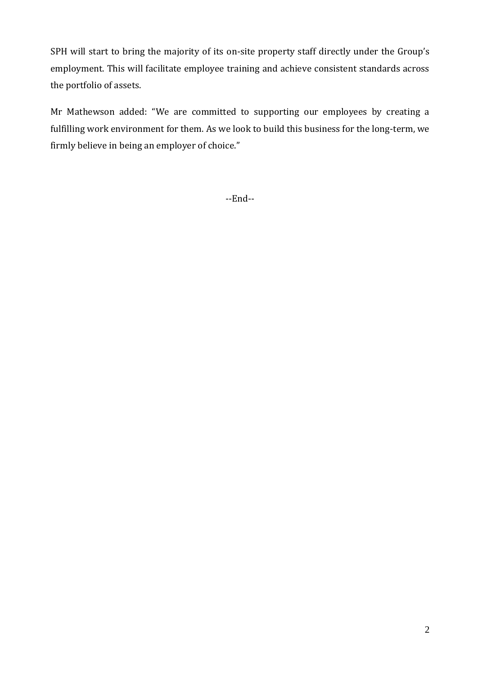SPH will start to bring the majority of its on-site property staff directly under the Group's employment. This will facilitate employee training and achieve consistent standards across the portfolio of assets.

Mr Mathewson added: "We are committed to supporting our employees by creating a fulfilling work environment for them. As we look to build this business for the long-term, we firmly believe in being an employer of choice."

--End--